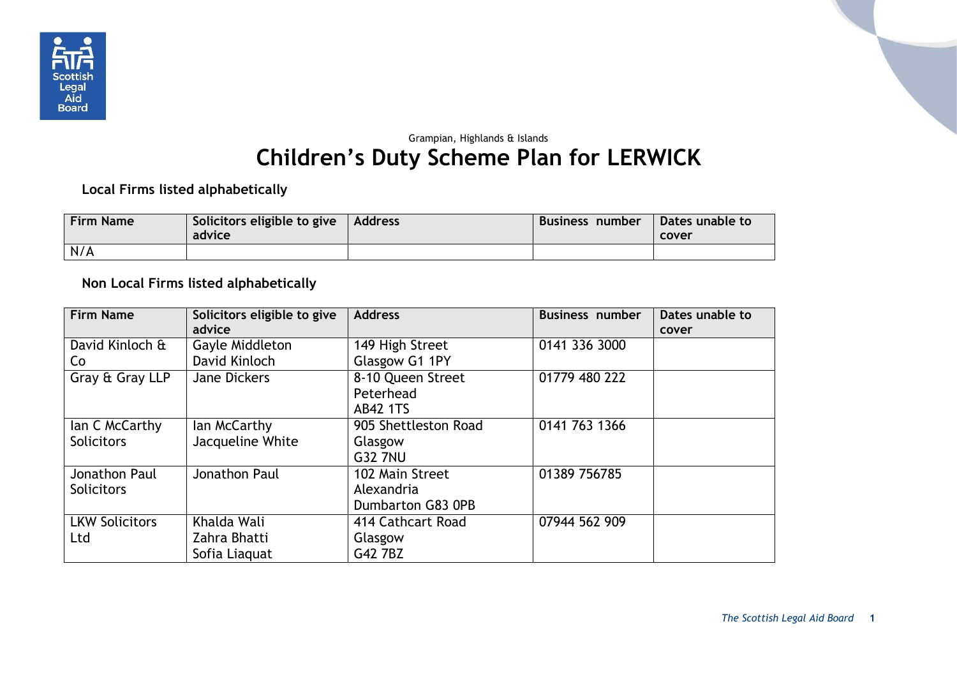

## Grampian, Highlands & Islands **Children's Duty Scheme Plan for LERWICK**

**Local Firms listed alphabetically**

| <b>Firm Name</b> | Solicitors eligible to give<br>advice | Address | Business number | Dates unable to<br>cover |
|------------------|---------------------------------------|---------|-----------------|--------------------------|
| N/A              |                                       |         |                 |                          |

**Non Local Firms listed alphabetically**

| <b>Firm Name</b>      | Solicitors eligible to give | <b>Address</b>       | <b>Business number</b> | Dates unable to |
|-----------------------|-----------------------------|----------------------|------------------------|-----------------|
|                       | advice                      |                      |                        | cover           |
| David Kinloch &       | Gayle Middleton             | 149 High Street      | 0141 336 3000          |                 |
| Co                    | David Kinloch               | Glasgow G1 1PY       |                        |                 |
| Gray & Gray LLP       | <b>Jane Dickers</b>         | 8-10 Queen Street    | 01779 480 222          |                 |
|                       |                             | Peterhead            |                        |                 |
|                       |                             | <b>AB42 1TS</b>      |                        |                 |
| lan C McCarthy        | lan McCarthy                | 905 Shettleston Road | 0141 763 1366          |                 |
| <b>Solicitors</b>     | Jacqueline White            | Glasgow              |                        |                 |
|                       |                             | <b>G32 7NU</b>       |                        |                 |
| Jonathon Paul         | Jonathon Paul               | 102 Main Street      | 01389 756785           |                 |
| <b>Solicitors</b>     |                             | Alexandria           |                        |                 |
|                       |                             | Dumbarton G83 0PB    |                        |                 |
| <b>LKW Solicitors</b> | Khalda Wali                 | 414 Cathcart Road    | 07944 562 909          |                 |
| Ltd                   | Zahra Bhatti                | Glasgow              |                        |                 |
|                       | Sofia Liaguat               | G42 7BZ              |                        |                 |